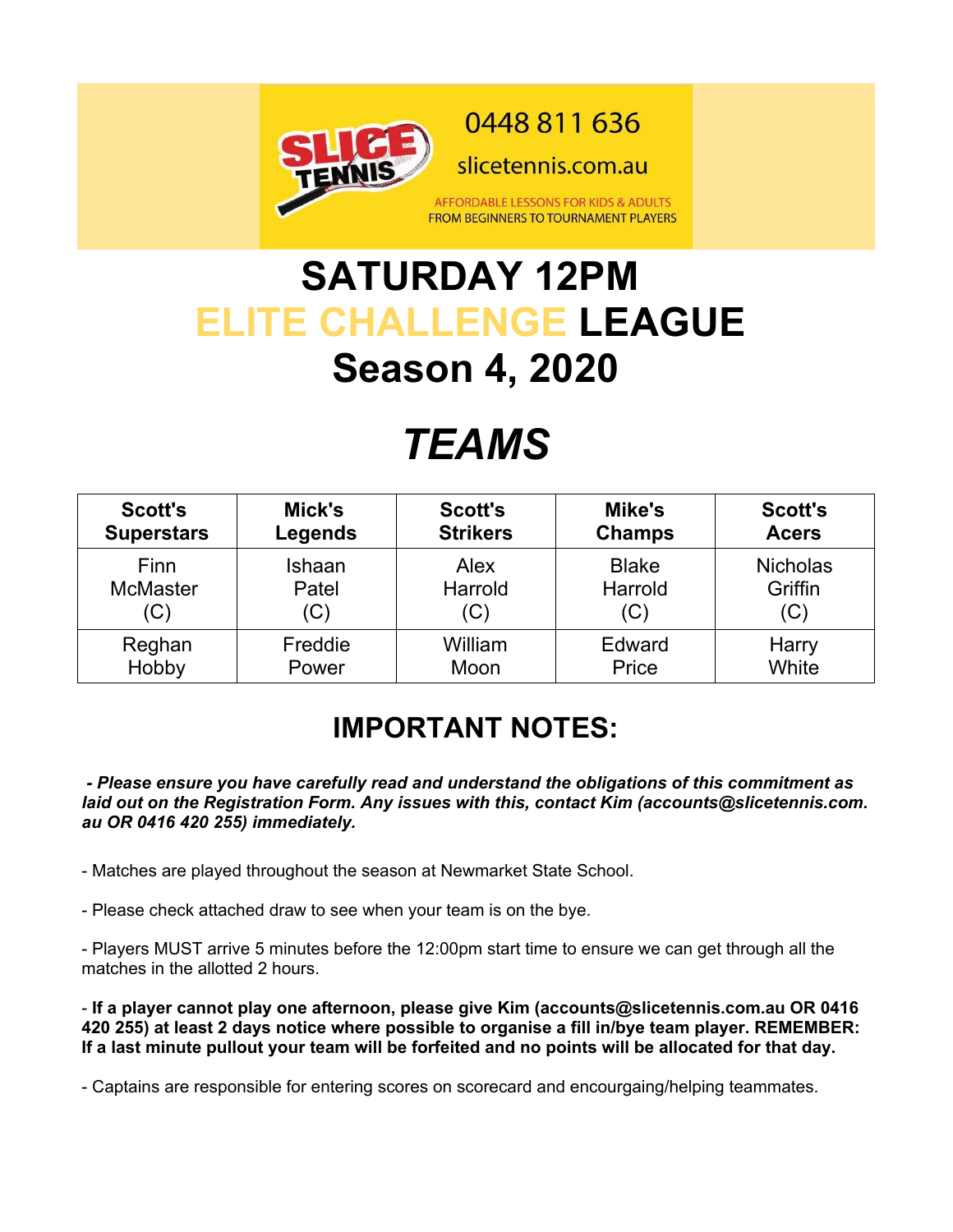

# **SATURDAY 12PM ELITE CHALLENGE LEAGUE Season 4, 2020**

# *TEAMS*

| <b>Scott's</b>    | Mick's  | <b>Scott's</b>  | Mike's        | <b>Scott's</b>  |
|-------------------|---------|-----------------|---------------|-----------------|
| <b>Superstars</b> | Legends | <b>Strikers</b> | <b>Champs</b> | <b>Acers</b>    |
| Finn              | Ishaan  | <b>Alex</b>     | <b>Blake</b>  | <b>Nicholas</b> |
| <b>McMaster</b>   | Patel   | Harrold         | Harrold       | Griffin         |
| 'C)               | (C)     | $(\mathrm{C})$  | (C)           | (C)             |
| Reghan            | Freddie | William         | Edward        | Harry           |
| Hobby             | Power   | Moon            | Price         | White           |

#### **IMPORTANT NOTES:**

 *- Please ensure you have carefully read and understand the obligations of this commitment as laid out on the Registration Form. Any issues with this, contact Kim (accounts@slicetennis.com. au OR 0416 420 255) immediately.*

- Matches are played throughout the season at Newmarket State School.

- Please check attached draw to see when your team is on the bye.

- Players MUST arrive 5 minutes before the 12:00pm start time to ensure we can get through all the matches in the allotted 2 hours.

- **If a player cannot play one afternoon, please give Kim (accounts@slicetennis.com.au OR 0416 420 255) at least 2 days notice where possible to organise a fill in/bye team player. REMEMBER: If a last minute pullout your team will be forfeited and no points will be allocated for that day.**

- Captains are responsible for entering scores on scorecard and encourgaing/helping teammates.